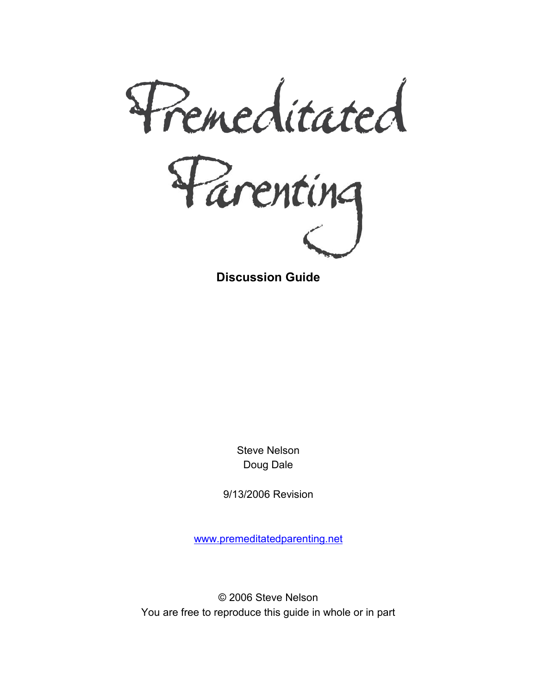

**Discussion Guide** 

Steve Nelson Doug Dale

9/13/2006 Revision

www.premeditatedparenting.net

© 2006 Steve Nelson You are free to reproduce this guide in whole or in part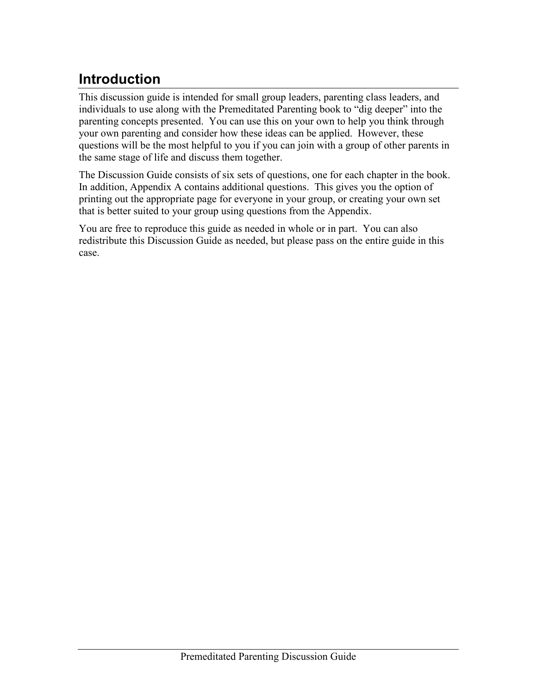# **Introduction**

This discussion guide is intended for small group leaders, parenting class leaders, and individuals to use along with the Premeditated Parenting book to "dig deeper" into the parenting concepts presented. You can use this on your own to help you think through your own parenting and consider how these ideas can be applied. However, these questions will be the most helpful to you if you can join with a group of other parents in the same stage of life and discuss them together.

The Discussion Guide consists of six sets of questions, one for each chapter in the book. In addition, Appendix A contains additional questions. This gives you the option of printing out the appropriate page for everyone in your group, or creating your own set that is better suited to your group using questions from the Appendix.

You are free to reproduce this guide as needed in whole or in part. You can also redistribute this Discussion Guide as needed, but please pass on the entire guide in this case.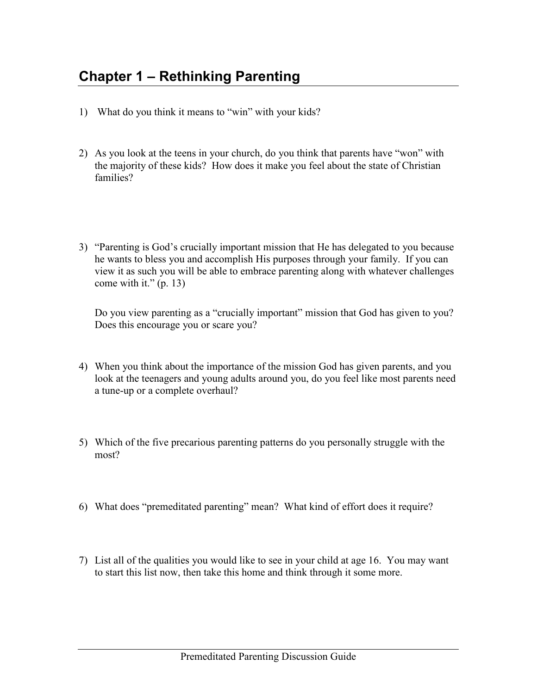- 1) What do you think it means to "win" with your kids?
- 2) As you look at the teens in your church, do you think that parents have "won" with the majority of these kids? How does it make you feel about the state of Christian families?
- 3) "Parenting is God's crucially important mission that He has delegated to you because he wants to bless you and accomplish His purposes through your family. If you can view it as such you will be able to embrace parenting along with whatever challenges come with it."  $(p. 13)$

Do you view parenting as a "crucially important" mission that God has given to you? Does this encourage you or scare you?

- 4) When you think about the importance of the mission God has given parents, and you look at the teenagers and young adults around you, do you feel like most parents need a tune-up or a complete overhaul?
- 5) Which of the five precarious parenting patterns do you personally struggle with the most?
- 6) What does "premeditated parenting" mean? What kind of effort does it require?
- 7) List all of the qualities you would like to see in your child at age 16. You may want to start this list now, then take this home and think through it some more.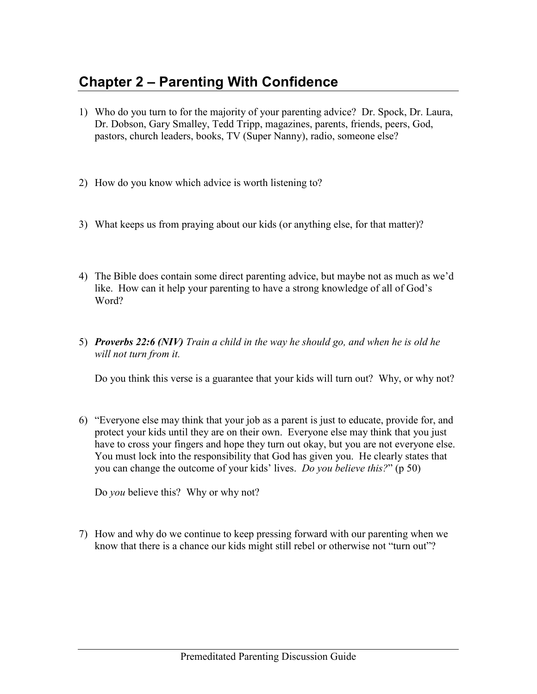## **Chapter 2 – Parenting With Confidence**

- 1) Who do you turn to for the majority of your parenting advice? Dr. Spock, Dr. Laura, Dr. Dobson, Gary Smalley, Tedd Tripp, magazines, parents, friends, peers, God, pastors, church leaders, books, TV (Super Nanny), radio, someone else?
- 2) How do you know which advice is worth listening to?
- 3) What keeps us from praying about our kids (or anything else, for that matter)?
- 4) The Bible does contain some direct parenting advice, but maybe not as much as we'd like. How can it help your parenting to have a strong knowledge of all of God's Word?
- 5) *Proverbs 22:6 (NIV) Train a child in the way he should go, and when he is old he will not turn from it.*

Do you think this verse is a guarantee that your kids will turn out? Why, or why not?

6) "Everyone else may think that your job as a parent is just to educate, provide for, and protect your kids until they are on their own. Everyone else may think that you just have to cross your fingers and hope they turn out okay, but you are not everyone else. You must lock into the responsibility that God has given you. He clearly states that you can change the outcome of your kids' lives. *Do you believe this?*" (p 50)

Do *you* believe this? Why or why not?

7) How and why do we continue to keep pressing forward with our parenting when we know that there is a chance our kids might still rebel or otherwise not "turn out"?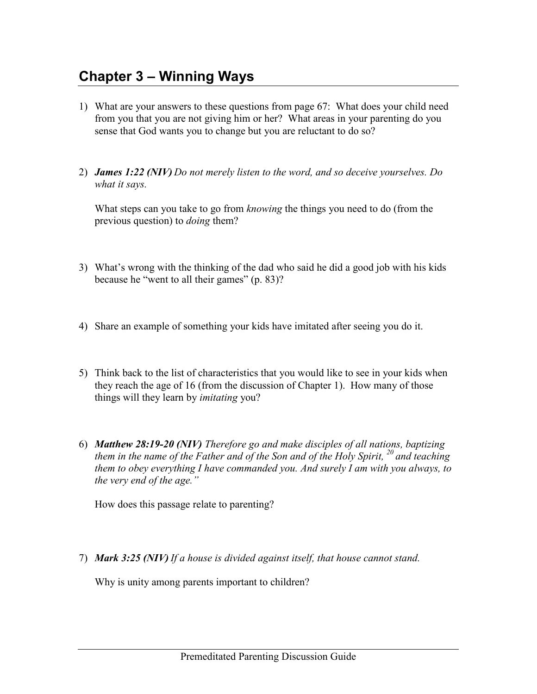## **Chapter 3 – Winning Ways**

- 1) What are your answers to these questions from page 67: What does your child need from you that you are not giving him or her? What areas in your parenting do you sense that God wants you to change but you are reluctant to do so?
- 2) *James 1:22 (NIV) Do not merely listen to the word, and so deceive yourselves. Do what it says.*

What steps can you take to go from *knowing* the things you need to do (from the previous question) to *doing* them?

- 3) What's wrong with the thinking of the dad who said he did a good job with his kids because he "went to all their games" (p. 83)?
- 4) Share an example of something your kids have imitated after seeing you do it.
- 5) Think back to the list of characteristics that you would like to see in your kids when they reach the age of 16 (from the discussion of Chapter 1). How many of those things will they learn by *imitating* you?
- 6) *Matthew 28:19-20 (NIV) Therefore go and make disciples of all nations, baptizing them in the name of the Father and of the Son and of the Holy Spirit, <sup>20</sup>and teaching them to obey everything I have commanded you. And surely I am with you always, to the very end of the age."*

How does this passage relate to parenting?

7) *Mark 3:25 (NIV) If a house is divided against itself, that house cannot stand.*

Why is unity among parents important to children?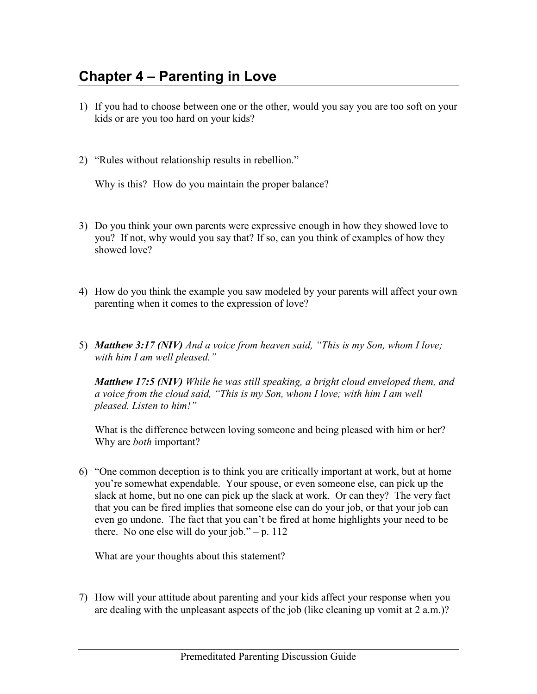## **Chapter 4 – Parenting in Love**

- 1) If you had to choose between one or the other, would you say you are too soft on your kids or are you too hard on your kids?
- 2) "Rules without relationship results in rebellion."

Why is this? How do you maintain the proper balance?

- 3) Do you think your own parents were expressive enough in how they showed love to you? If not, why would you say that? If so, can you think of examples of how they showed love?
- 4) How do you think the example you saw modeled by your parents will affect your own parenting when it comes to the expression of love?
- 5) *Matthew 3:17 (NIV) And a voice from heaven said, "This is my Son, whom I love; with him I am well pleased."*

*Matthew 17:5 (NIV) While he was still speaking, a bright cloud enveloped them, and a voice from the cloud said, "This is my Son, whom I love; with him I am well pleased. Listen to him!"*

What is the difference between loving someone and being pleased with him or her? Why are *both* important?

6) "One common deception is to think you are critically important at work, but at home you're somewhat expendable. Your spouse, or even someone else, can pick up the slack at home, but no one can pick up the slack at work. Or can they? The very fact that you can be fired implies that someone else can do your job, or that your job can even go undone. The fact that you can't be fired at home highlights your need to be there. No one else will do your job." – p.  $112$ 

What are your thoughts about this statement?

7) How will your attitude about parenting and your kids affect your response when you are dealing with the unpleasant aspects of the job (like cleaning up vomit at 2 a.m.)?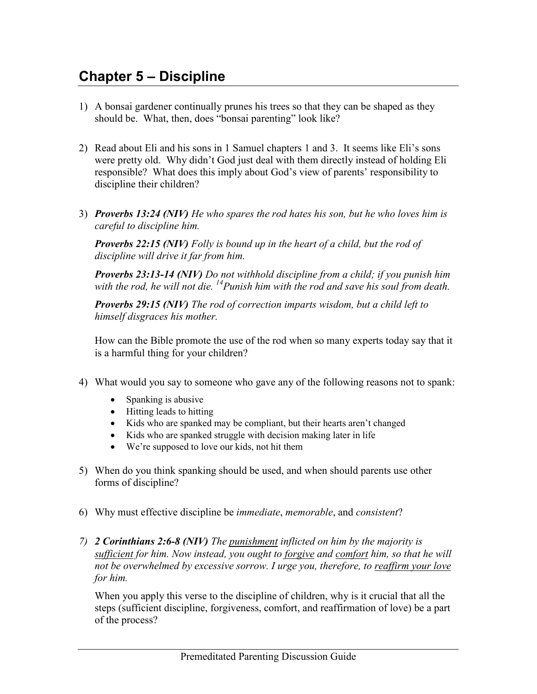## **Chapter 5 – Discipline**

- 1) A bonsai gardener continually prunes his trees so that they can be shaped as they should be. What, then, does "bonsai parenting" look like?
- 2) Read about Eli and his sons in 1 Samuel chapters 1 and 3. It seems like Eli's sons were pretty old. Why didn't God just deal with them directly instead of holding Eli responsible? What does this imply about God's view of parents' responsibility to discipline their children?
- 3) *Proverbs 13:24 (NIV) He who spares the rod hates his son, but he who loves him is careful to discipline him.*

*Proverbs 22:15 (NIV) Folly is bound up in the heart of a child, but the rod of discipline will drive it far from him.* 

*Proverbs 23:13-14 (NIV) Do not withhold discipline from a child; if you punish him with the rod, he will not die. <sup>14</sup>Punish him with the rod and save his soul from death.* 

*Proverbs 29:15 (NIV) The rod of correction imparts wisdom, but a child left to himself disgraces his mother.*

How can the Bible promote the use of the rod when so many experts today say that it is a harmful thing for your children?

- 4) What would you say to someone who gave any of the following reasons not to spank:
	- Spanking is abusive
	- Hitting leads to hitting
	- Kids who are spanked may be compliant, but their hearts aren't changed
	- Kids who are spanked struggle with decision making later in life
	- We're supposed to love our kids, not hit them
- 5) When do you think spanking should be used, and when should parents use other forms of discipline?
- 6) Why must effective discipline be *immediate*, *memorable*, and *consistent*?
- *7) 2 Corinthians 2:6-8 (NIV) The punishment inflicted on him by the majority is sufficient for him. Now instead, you ought to forgive and comfort him, so that he will not be overwhelmed by excessive sorrow. I urge you, therefore, to reaffirm your love for him.*

When you apply this verse to the discipline of children, why is it crucial that all the steps (sufficient discipline, forgiveness, comfort, and reaffirmation of love) be a part of the process?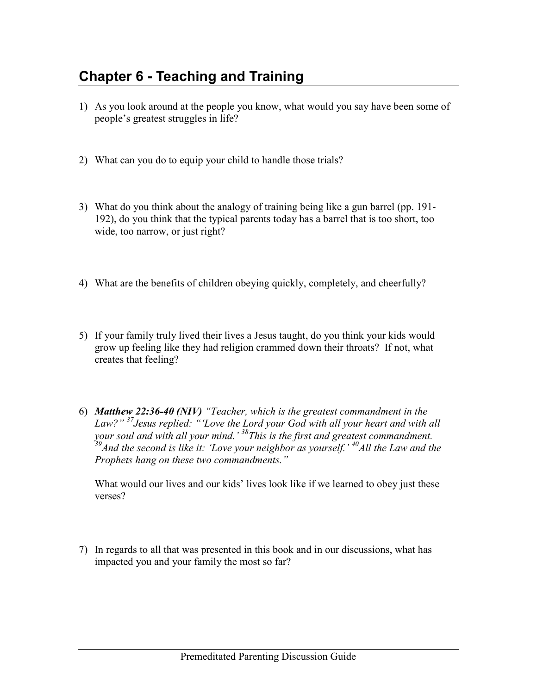## **Chapter 6 - Teaching and Training**

- 1) As you look around at the people you know, what would you say have been some of people's greatest struggles in life?
- 2) What can you do to equip your child to handle those trials?
- 3) What do you think about the analogy of training being like a gun barrel (pp. 191- 192), do you think that the typical parents today has a barrel that is too short, too wide, too narrow, or just right?
- 4) What are the benefits of children obeying quickly, completely, and cheerfully?
- 5) If your family truly lived their lives a Jesus taught, do you think your kids would grow up feeling like they had religion crammed down their throats? If not, what creates that feeling?
- 6) *Matthew 22:36-40 (NIV) "Teacher, which is the greatest commandment in the Law?" <sup>37</sup>Jesus replied: "'Love the Lord your God with all your heart and with all your soul and with all your mind.' <sup>38</sup>This is the first and greatest commandment. <sup>39</sup>And the second is like it: 'Love your neighbor as yourself.' <sup>40</sup>All the Law and the Prophets hang on these two commandments."*

What would our lives and our kids' lives look like if we learned to obey just these verses?

7) In regards to all that was presented in this book and in our discussions, what has impacted you and your family the most so far?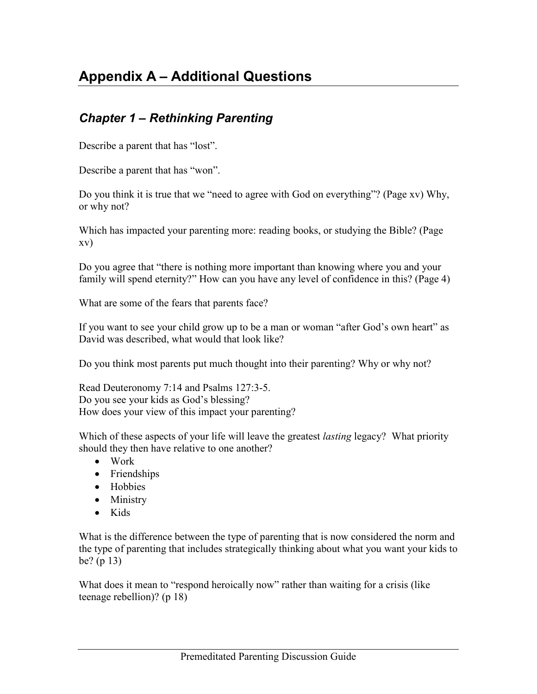# **Appendix A – Additional Questions**

#### *Chapter 1 – Rethinking Parenting*

Describe a parent that has "lost".

Describe a parent that has "won".

Do you think it is true that we "need to agree with God on everything"? (Page xv) Why, or why not?

Which has impacted your parenting more: reading books, or studying the Bible? (Page xv)

Do you agree that "there is nothing more important than knowing where you and your family will spend eternity?" How can you have any level of confidence in this? (Page 4)

What are some of the fears that parents face?

If you want to see your child grow up to be a man or woman "after God's own heart" as David was described, what would that look like?

Do you think most parents put much thought into their parenting? Why or why not?

Read Deuteronomy 7:14 and Psalms 127:3-5. Do you see your kids as God's blessing? How does your view of this impact your parenting?

Which of these aspects of your life will leave the greatest *lasting* legacy? What priority should they then have relative to one another?

- Work
- Friendships
- Hobbies
- Ministry
- Kids

What is the difference between the type of parenting that is now considered the norm and the type of parenting that includes strategically thinking about what you want your kids to be? (p 13)

What does it mean to "respond heroically now" rather than waiting for a crisis (like teenage rebellion)? (p 18)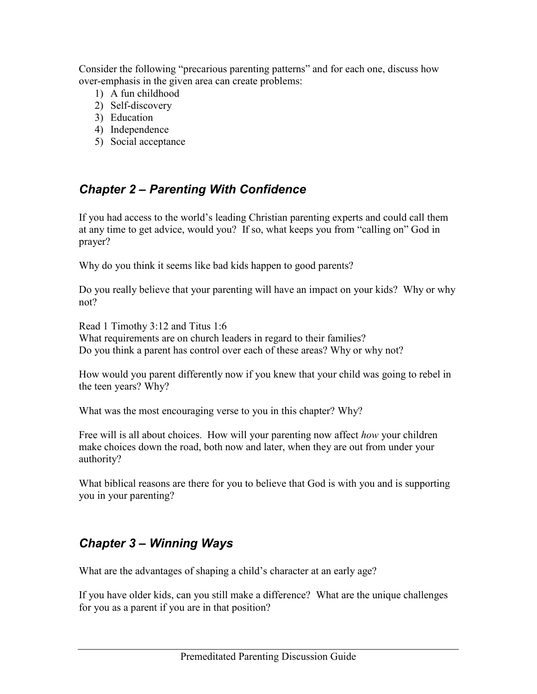Consider the following "precarious parenting patterns" and for each one, discuss how over-emphasis in the given area can create problems:

- 1) A fun childhood
- 2) Self-discovery
- 3) Education
- 4) Independence
- 5) Social acceptance

### *Chapter 2 – Parenting With Confidence*

If you had access to the world's leading Christian parenting experts and could call them at any time to get advice, would you? If so, what keeps you from "calling on" God in prayer?

Why do you think it seems like bad kids happen to good parents?

Do you really believe that your parenting will have an impact on your kids? Why or why not?

Read 1 Timothy 3:12 and Titus 1:6 What requirements are on church leaders in regard to their families? Do you think a parent has control over each of these areas? Why or why not?

How would you parent differently now if you knew that your child was going to rebel in the teen years? Why?

What was the most encouraging verse to you in this chapter? Why?

Free will is all about choices. How will your parenting now affect *how* your children make choices down the road, both now and later, when they are out from under your authority?

What biblical reasons are there for you to believe that God is with you and is supporting you in your parenting?

### *Chapter 3 – Winning Ways*

What are the advantages of shaping a child's character at an early age?

If you have older kids, can you still make a difference? What are the unique challenges for you as a parent if you are in that position?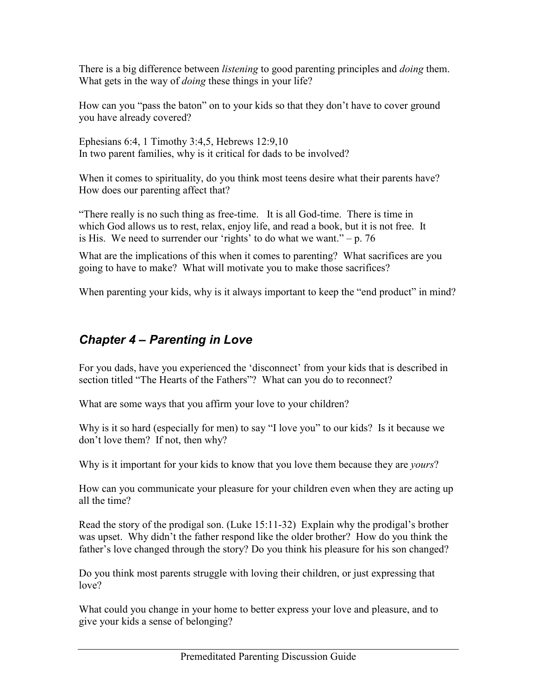There is a big difference between *listening* to good parenting principles and *doing* them. What gets in the way of *doing* these things in your life?

How can you "pass the baton" on to your kids so that they don't have to cover ground you have already covered?

Ephesians 6:4, 1 Timothy 3:4,5, Hebrews 12:9,10 In two parent families, why is it critical for dads to be involved?

When it comes to spirituality, do you think most teens desire what their parents have? How does our parenting affect that?

"There really is no such thing as free-time. It is all God-time. There is time in which God allows us to rest, relax, enjoy life, and read a book, but it is not free. It is His. We need to surrender our 'rights' to do what we want."  $- p$ . 76

What are the implications of this when it comes to parenting? What sacrifices are you going to have to make? What will motivate you to make those sacrifices?

When parenting your kids, why is it always important to keep the "end product" in mind?

### *Chapter 4 – Parenting in Love*

For you dads, have you experienced the 'disconnect' from your kids that is described in section titled "The Hearts of the Fathers"? What can you do to reconnect?

What are some ways that you affirm your love to your children?

Why is it so hard (especially for men) to say "I love you" to our kids? Is it because we don't love them? If not, then why?

Why is it important for your kids to know that you love them because they are *yours*?

How can you communicate your pleasure for your children even when they are acting up all the time?

Read the story of the prodigal son. (Luke 15:11-32) Explain why the prodigal's brother was upset. Why didn't the father respond like the older brother? How do you think the father's love changed through the story? Do you think his pleasure for his son changed?

Do you think most parents struggle with loving their children, or just expressing that love?

What could you change in your home to better express your love and pleasure, and to give your kids a sense of belonging?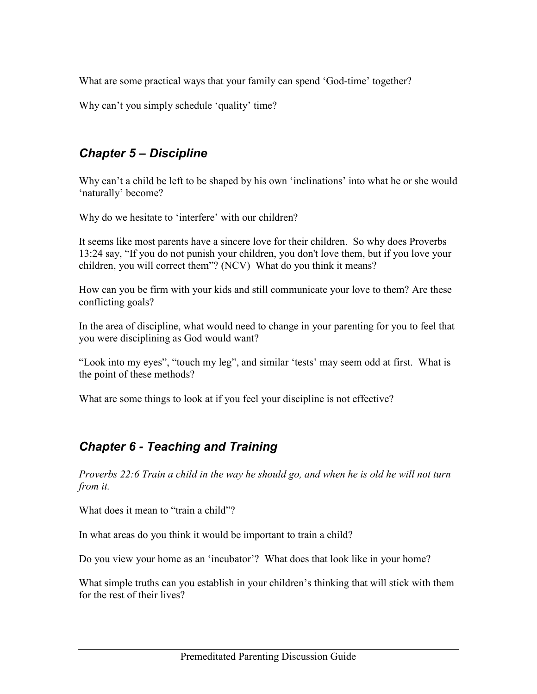What are some practical ways that your family can spend 'God-time' together?

Why can't you simply schedule 'quality' time?

#### *Chapter 5 – Discipline*

Why can't a child be left to be shaped by his own 'inclinations' into what he or she would 'naturally' become?

Why do we hesitate to 'interfere' with our children?

It seems like most parents have a sincere love for their children. So why does Proverbs 13:24 say, "If you do not punish your children, you don't love them, but if you love your children, you will correct them"? (NCV) What do you think it means?

How can you be firm with your kids and still communicate your love to them? Are these conflicting goals?

In the area of discipline, what would need to change in your parenting for you to feel that you were disciplining as God would want?

"Look into my eyes", "touch my leg", and similar 'tests' may seem odd at first. What is the point of these methods?

What are some things to look at if you feel your discipline is not effective?

#### *Chapter 6 - Teaching and Training*

*Proverbs 22:6 Train a child in the way he should go, and when he is old he will not turn from it.* 

What does it mean to "train a child"?

In what areas do you think it would be important to train a child?

Do you view your home as an 'incubator'? What does that look like in your home?

What simple truths can you establish in your children's thinking that will stick with them for the rest of their lives?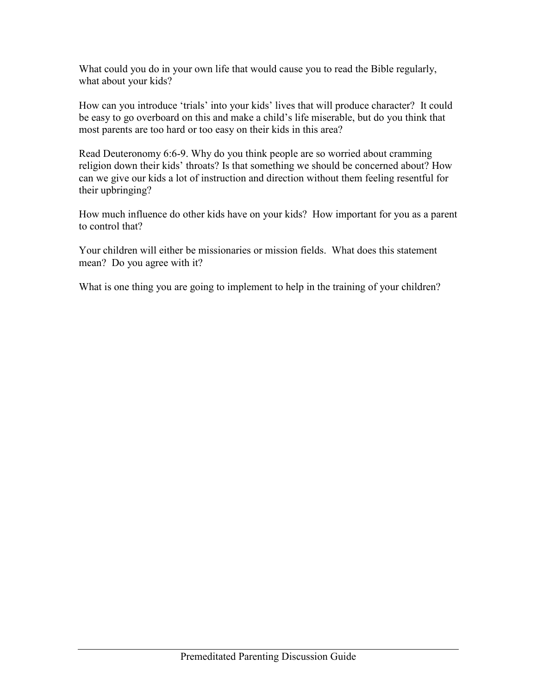What could you do in your own life that would cause you to read the Bible regularly, what about your kids?

How can you introduce 'trials' into your kids' lives that will produce character? It could be easy to go overboard on this and make a child's life miserable, but do you think that most parents are too hard or too easy on their kids in this area?

Read Deuteronomy 6:6-9. Why do you think people are so worried about cramming religion down their kids' throats? Is that something we should be concerned about? How can we give our kids a lot of instruction and direction without them feeling resentful for their upbringing?

How much influence do other kids have on your kids? How important for you as a parent to control that?

Your children will either be missionaries or mission fields. What does this statement mean? Do you agree with it?

What is one thing you are going to implement to help in the training of your children?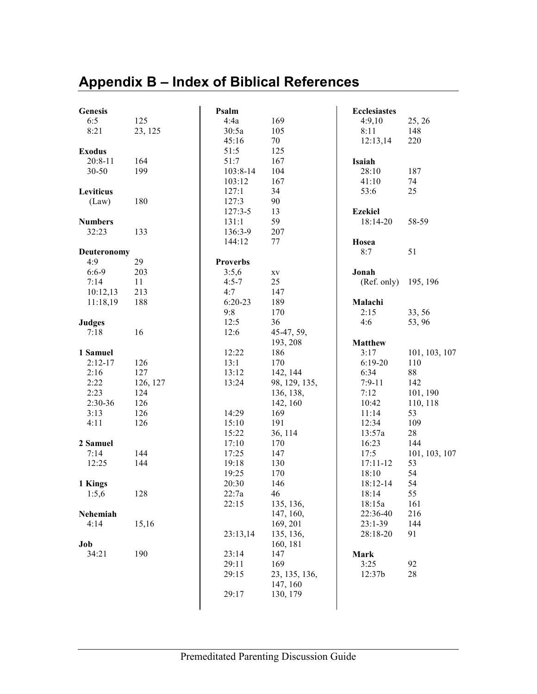# **Appendix B – Index of Biblical References**

| <b>Genesis</b> |          | Psalm           |               | <b>Ecclesiastes</b> |               |
|----------------|----------|-----------------|---------------|---------------------|---------------|
| 6:5            | 125      | 4:4a            | 169           | 4:9,10              | 25, 26        |
| 8:21           | 23, 125  | 30:5a           | 105           | 8:11                | 148           |
|                |          | 45:16           | 70            | 12:13,14            | 220           |
| <b>Exodus</b>  |          | 51:5            | 125           |                     |               |
| $20:8 - 11$    | 164      | 51:7            | 167           | Isaiah              |               |
| 30-50          | 199      | $103:8-14$      | 104           | 28:10               | 187           |
|                |          | 103:12          | 167           | 41:10               | 74            |
| Leviticus      |          | 127:1           | 34            | 53:6                | 25            |
| (Law)          | 180      | 127:3           | 90            |                     |               |
|                |          | $127:3-5$       | 13            | <b>Ezekiel</b>      |               |
| <b>Numbers</b> |          | 131:1           | 59            | 18:14-20            | 58-59         |
| 32:23          | 133      | 136:3-9         | 207           |                     |               |
|                |          | 144:12          | 77            | Hosea               |               |
| Deuteronomy    |          |                 |               | 8:7                 | 51            |
| 4:9            | 29       | <b>Proverbs</b> |               |                     |               |
| $6:6-9$        | 203      | 3:5,6           | XV            | Jonah               |               |
| 7:14           | 11       | $4:5 - 7$       | 25            | (Ref. only)         | 195, 196      |
| 10:12,13       | 213      | 4:7             | 147           |                     |               |
| 11:18,19       | 188      | $6:20-23$       | 189           | Malachi             |               |
|                |          | 9:8             | 170           | 2:15                | 33, 56        |
| <b>Judges</b>  |          | 12:5            | 36            | 4:6                 | 53,96         |
| 7:18           | 16       | 12:6            | 45-47, 59,    |                     |               |
|                |          |                 | 193, 208      | <b>Matthew</b>      |               |
| 1 Samuel       |          | 12:22           | 186           | 3:17                | 101, 103, 107 |
| $2:12-17$      | 126      | 13:1            | 170           | $6:19-20$           | 110           |
| 2:16           | 127      | 13:12           | 142, 144      | 6:34                | 88            |
| 2:22           | 126, 127 | 13:24           | 98, 129, 135, | $7:9-11$            | 142           |
| 2:23           | 124      |                 | 136, 138,     | 7:12                | 101, 190      |
| 2:30-36        | 126      |                 | 142, 160      | 10:42               | 110, 118      |
| 3:13           | 126      | 14:29           | 169           | 11:14               | 53            |
| 4:11           | 126      | 15:10           | 191           | 12:34               | 109           |
|                |          | 15:22           | 36, 114       | 13:57a              | $28\,$        |
| 2 Samuel       |          | 17:10           | 170           | 16:23               | 144           |
| 7:14           | 144      | 17:25           | 147           | 17:5                | 101, 103, 107 |
| 12:25          | 144      | 19:18           | 130           | 17:11-12            | 53            |
|                |          | 19:25           | 170           | 18:10               | 54            |
| 1 Kings        |          | 20:30           | 146           | 18:12-14            | 54            |
| 1:5,6          | 128      | 22:7a           | 46            | 18:14               | 55            |
|                |          | 22:15           | 135, 136,     | 18:15a              | 161           |
| Nehemiah       |          |                 | 147, 160,     | 22:36-40            | 216           |
| 4:14           | 15,16    |                 | 169, 201      | $23:1-39$           | 144           |
|                |          | 23:13,14        | 135, 136,     | 28:18-20            | 91            |
| Job            |          |                 | 160, 181      |                     |               |
| 34:21          | 190      | 23:14           | 147           | <b>Mark</b>         |               |
|                |          | 29:11           | 169           | 3:25                | 92            |
|                |          | 29:15           | 23, 135, 136, | 12:37b              | 28            |
|                |          |                 | 147, 160      |                     |               |
|                |          | 29:17           |               |                     |               |
|                |          |                 | 130, 179      |                     |               |
|                |          |                 |               |                     |               |